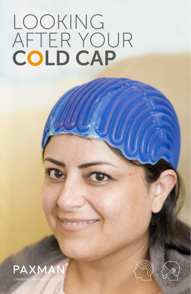# LOOKING AFTER YOUR COLD CAP





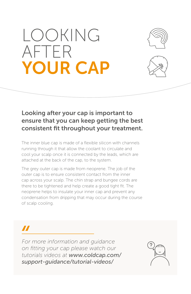## LOOKING AFTER YOUR CAP





#### Looking after your cap is important to ensure that you can keep getting the best consistent fit throughout your treatment.

The inner blue cap is made of a flexible silicon with channels running through it that allow the coolant to circulate and cool your scalp once it is connected by the leads, which are attached at the back of the cap, to the system.

The grey outer cap is made from neoprene. The job of the outer cap is to ensure consistent contact from the inner cap across your scalp. The chin strap and bungee cords are there to be tightened and help create a good tight fit. The neoprene helps to insulate your inner cap and prevent any condensation from dripping that may occur during the course of scalp cooling.

### $\boldsymbol{\mathit{II}}$

*For more information and guidance on fitting your cap please watch our tutorials videos at www.coldcap.com/ support-guidance/tutorial-videos/*

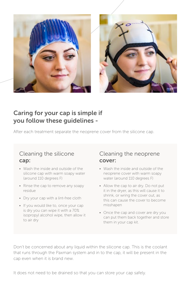

#### Caring for your cap is simple if you follow these guidelines -

After each treatment separate the neoprene cover from the silicone cap.

#### Cleaning the silicone cap:

- Wash the inside and outside of the silicone cap with warm soapy water (around 110 degrees F)
- Rinse the cap to remove any soapy residue
- Dry your cap with a lint-free cloth
- If you would like to, once your cap is dry you can wipe it with a 70% isopropyl alcohol wipe, then allow it to air dry

#### Cleaning the neoprene cover:

- Wash the inside and outside of the neoprene cover with warm soapy water (around 110 degrees F)
- Allow the cap to air dry. Do not put it in the dryer, as this will cause it to shrink, or wring the cover out, as this can cause the cover to become misshapen
- Once the cap and cover are dry you can put them back together and store them in your cap kit.

Don't be concerned about any liquid within the silicone cap. This is the coolant that runs through the Paxman system and in to the cap, it will be present in the cap even when it is brand new.

It does not need to be drained so that you can store your cap safely.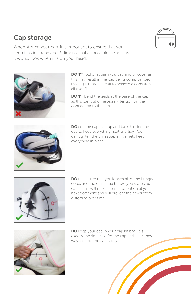#### Cap storage



When storing your cap, it is important to ensure that you keep it as in shape and 3 dimensional as possible, almost as it would look when it is on your head.



**DON'T** fold or squash you cap and or cover as this may result in the cap being compromised making it more difficult to achieve a consistent all over fit.

**DON'T** bend the leads at the base of the cap as this can put unnecessary tension on the connection to the cap.



DO coil the cap lead up and tuck it inside the cap to keep everything neat and tidy. You can tighten the chin strap a little help keep everything in place.



DO make sure that you loosen all of the bungee cords and the chin strap before you store you cap as this will make it easier to put on at your next treatment and will prevent the cover from distorting over time.



DO keep your cap in your cap kit bag. It is exactly the right size for the cap and is a handy way to store the cap safely.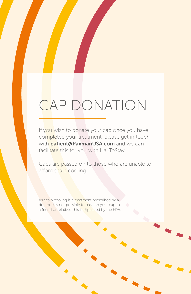### CAP DONATION

If you wish to donate your cap once you have completed your treatment, please get in touch with **patient@PaxmanUSA.com** and we can facilitate this for you with HairToStay.

Caps are passed on to those who are unable to afford scalp cooling.

As scalp cooling is a treatment prescribed by a doctor, it is not possible to pass on your cap to a friend or relative. This is stipulated by the FDA.